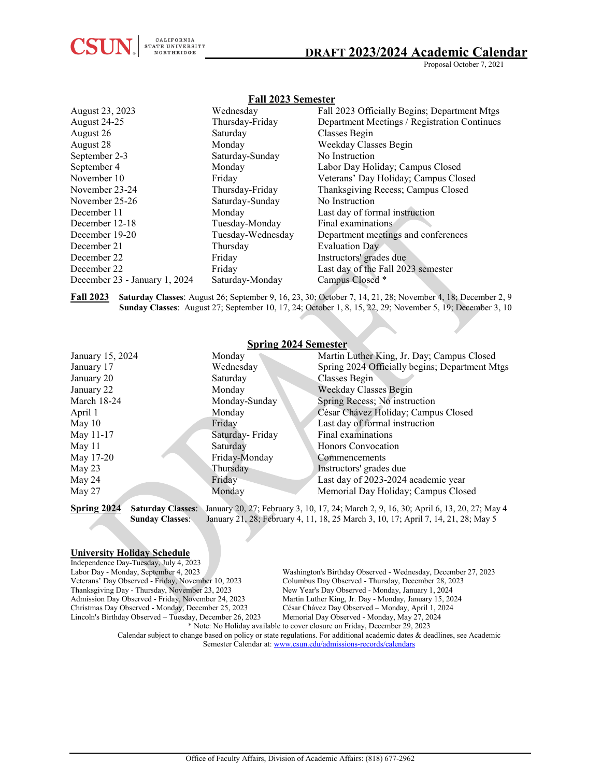

Proposal October 7, 2021

| r all 2020 Seinester          |                   |                                              |
|-------------------------------|-------------------|----------------------------------------------|
| August 23, 2023               | Wednesday         | Fall 2023 Officially Begins; Department Mtgs |
| August 24-25                  | Thursday-Friday   | Department Meetings / Registration Continues |
| August 26                     | Saturday          | Classes Begin                                |
| August 28                     | Monday            | Weekday Classes Begin                        |
| September 2-3                 | Saturday-Sunday   | No Instruction                               |
| September 4                   | Monday            | Labor Day Holiday; Campus Closed             |
| November 10                   | Friday            | Veterans' Day Holiday; Campus Closed         |
| November 23-24                | Thursday-Friday   | Thanksgiving Recess; Campus Closed           |
| November 25-26                | Saturday-Sunday   | No Instruction                               |
| December 11                   | Monday            | Last day of formal instruction               |
| December 12-18                | Tuesday-Monday    | Final examinations                           |
| December 19-20                | Tuesday-Wednesday | Department meetings and conferences          |
| December 21                   | Thursday          | Evaluation Day                               |
| December 22                   | Friday            | Instructors' grades due                      |
| December 22                   | Friday            | Last day of the Fall 2023 semester           |
| December 23 - January 1, 2024 | Saturday-Monday   | Campus Closed *                              |
|                               |                   |                                              |

**Fall 2023 Semester**

**Fall 2023 Saturday Classes**: August 26; September 9, 16, 23, 30; October 7, 14, 21, 28; November 4, 18; December 2, 9  **Sunday Classes**: August 27; September 10, 17, 24; October 1, 8, 15, 22, 29; November 5, 19; December 3, 10

| <b>Spring 2024 Semester</b> |                 |                                                |
|-----------------------------|-----------------|------------------------------------------------|
| January 15, 2024            | Monday          | Martin Luther King, Jr. Day; Campus Closed     |
| January 17                  | Wednesday       | Spring 2024 Officially begins; Department Mtgs |
| January 20                  | Saturday        | Classes Begin                                  |
| January 22                  | Monday          | Weekday Classes Begin                          |
| March 18-24                 | Monday-Sunday   | Spring Recess; No instruction                  |
| April 1                     | Monday          | César Chávez Holiday; Campus Closed            |
| May $10$                    | Friday          | Last day of formal instruction                 |
| May 11-17                   | Saturday-Friday | Final examinations                             |
| May $11$                    | Saturday        | Honors Convocation                             |
| May 17-20                   | Friday-Monday   | Commencements                                  |
| May $23$                    | Thursday        | Instructors' grades due                        |
| May 24                      | Friday          | Last day of 2023-2024 academic year            |
| May 27                      | Monday          | Memorial Day Holiday; Campus Closed            |

**Spring 2024** Saturday Classes: January 20, 27; February 3, 10, 17, 24; March 2, 9, 16, 30; April 6, 13, 20, 27; May 4<br> **Sunday Classes:** January 21, 28; February 4, 11, 18, 25 March 3, 10, 17; April 7, 14, 21, 28; May 5 January 21, 28; February 4, 11, 18, 25 March 3, 10, 17; April 7, 14, 21, 28; May 5

#### **University Holiday Schedule**

Independence Day-Tuesday, July 4, 2023<br>Labor Day - Monday, September 4, 2023 Veterans' Day Observed - Friday, November 10, 2023 Thanksgiving Day - Thursday, November 23, 2023 New Year's Day Observed - Monday, January 1, 2024<br>Admission Day Observed - Friday, November 24, 2023 Martin Luther King, Jr. Day - Monday, January 15, 20 Christmas Day Observed - Monday, December 25, 2023 César Chávez Day Observed – Monday, April 1, 2024 Lincoln's Birthday Observed - Tuesday, December 26, 2023

Washington's Birthday Observed - Wednesday, December 27, 2023<br>Columbus Day Observed - Thursday, December 28, 2023 Martin Luther King, Jr. Day - Monday, January 15, 2024<br>César Chávez Day Observed - Monday, April 1, 2024

\* Note: No Holiday available to cover closure on Friday, December 29, 2023 Calendar subject to change based on policy or state regulations. For additional academic dates & deadlines, see Academic Semester Calendar at[: www.csun.edu/admissions-records/calendars](http://www.csun.edu/admissions-records/calendars)